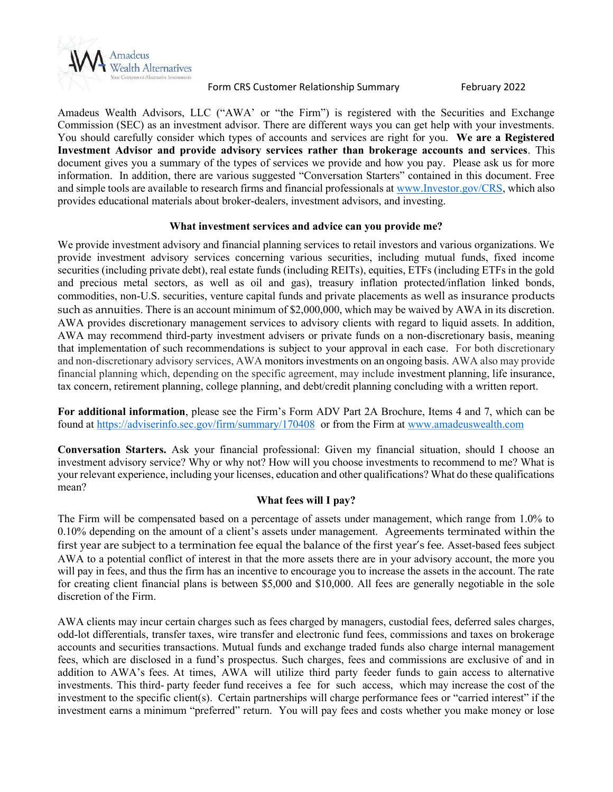

Form CRS Customer Relationship Summary February 2022

Amadeus Wealth Advisors, LLC ("AWA' or "the Firm") is registered with the Securities and Exchange Commission (SEC) as an investment advisor. There are different ways you can get help with your investments. You should carefully consider which types of accounts and services are right for you. We are a Registered Investment Advisor and provide advisory services rather than brokerage accounts and services. This document gives you a summary of the types of services we provide and how you pay. Please ask us for more information. In addition, there are various suggested "Conversation Starters" contained in this document. Free and simple tools are available to research firms and financial professionals at www.Investor.gov/CRS, which also provides educational materials about broker-dealers, investment advisors, and investing.

# What investment services and advice can you provide me?

We provide investment advisory and financial planning services to retail investors and various organizations. We provide investment advisory services concerning various securities, including mutual funds, fixed income securities (including private debt), real estate funds (including REITs), equities, ETFs (including ETFs in the gold and precious metal sectors, as well as oil and gas), treasury inflation protected/inflation linked bonds, commodities, non-U.S. securities, venture capital funds and private placements as well as insurance products such as annuities. There is an account minimum of \$2,000,000, which may be waived by AWA in its discretion. AWA provides discretionary management services to advisory clients with regard to liquid assets. In addition, AWA may recommend third-party investment advisers or private funds on a non-discretionary basis, meaning that implementation of such recommendations is subject to your approval in each case. For both discretionary and non-discretionary advisory services, AWA monitors investments on an ongoing basis. AWA also may provide financial planning which, depending on the specific agreement, may include investment planning, life insurance, tax concern, retirement planning, college planning, and debt/credit planning concluding with a written report.

For additional information, please see the Firm's Form ADV Part 2A Brochure, Items 4 and 7, which can be found at https://adviserinfo.sec.gov/firm/summary/170408 or from the Firm at www.amadeuswealth.com

Conversation Starters. Ask your financial professional: Given my financial situation, should I choose an investment advisory service? Why or why not? How will you choose investments to recommend to me? What is your relevant experience, including your licenses, education and other qualifications? What do these qualifications mean?

# What fees will I pay?

The Firm will be compensated based on a percentage of assets under management, which range from 1.0% to 0.10% depending on the amount of a client's assets under management. Agreements terminated within the first year are subject to a termination fee equal the balance of the first year's fee. Asset-based fees subject AWA to a potential conflict of interest in that the more assets there are in your advisory account, the more you will pay in fees, and thus the firm has an incentive to encourage you to increase the assets in the account. The rate for creating client financial plans is between \$5,000 and \$10,000. All fees are generally negotiable in the sole discretion of the Firm.

AWA clients may incur certain charges such as fees charged by managers, custodial fees, deferred sales charges, odd-lot differentials, transfer taxes, wire transfer and electronic fund fees, commissions and taxes on brokerage accounts and securities transactions. Mutual funds and exchange traded funds also charge internal management fees, which are disclosed in a fund's prospectus. Such charges, fees and commissions are exclusive of and in addition to AWA's fees. At times, AWA will utilize third party feeder funds to gain access to alternative investments. This third- party feeder fund receives a fee for such access, which may increase the cost of the investment to the specific client(s). Certain partnerships will charge performance fees or "carried interest" if the investment earns a minimum "preferred" return. You will pay fees and costs whether you make money or lose